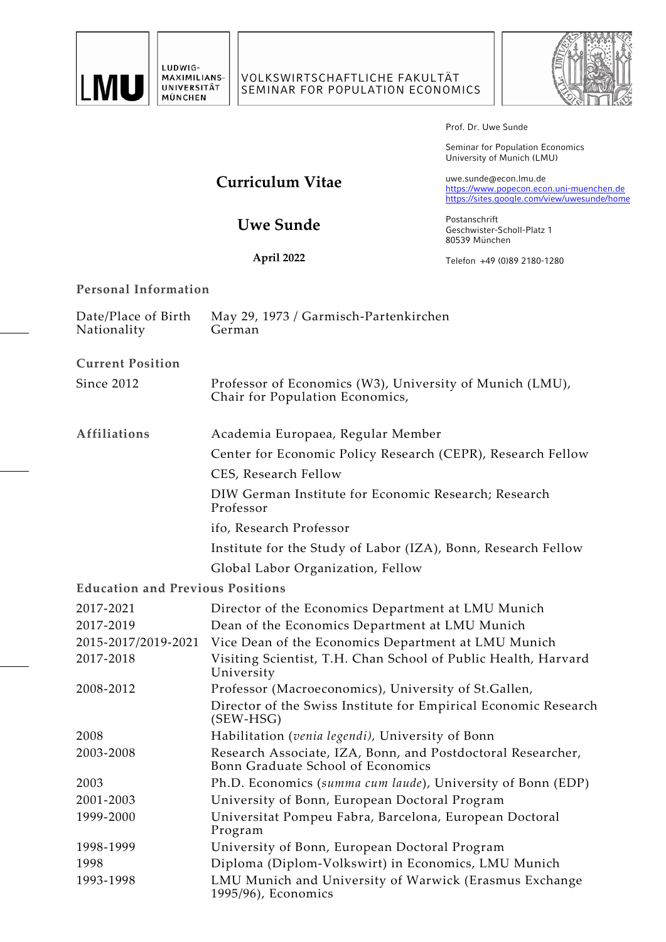



Prof. Dr. Uwe Sunde

Seminar for Population Economics University of Munich (LMU)

# **Curriculum Vitae**

uwe.sunde@econ.lmu.de [https://www.popecon.econ.uni-muenchen.de](https://www.popecon.econ.uni-muenchen.de/) <https://sites.google.com/view/uwesunde/home>

**Uwe Sunde**

**April 2022**

Postanschrift Geschwister-Scholl-Platz 1 80539 München

Telefon +49 (0)89 2180-1280

# **Personal Information**

| Date/Place of Birth<br>Nationality      | May 29, 1973 / Garmisch-Partenkirchen<br>German                                                  |
|-----------------------------------------|--------------------------------------------------------------------------------------------------|
| <b>Current Position</b>                 |                                                                                                  |
| Since 2012                              | Professor of Economics (W3), University of Munich (LMU),<br>Chair for Population Economics,      |
| <b>Affiliations</b>                     | Academia Europaea, Regular Member                                                                |
|                                         | Center for Economic Policy Research (CEPR), Research Fellow                                      |
|                                         | CES, Research Fellow                                                                             |
|                                         | DIW German Institute for Economic Research; Research<br>Professor                                |
|                                         | ifo, Research Professor                                                                          |
|                                         | Institute for the Study of Labor (IZA), Bonn, Research Fellow                                    |
|                                         | Global Labor Organization, Fellow                                                                |
| <b>Education and Previous Positions</b> |                                                                                                  |
| 2017-2021                               | Director of the Economics Department at LMU Munich                                               |
| 2017-2019                               | Dean of the Economics Department at LMU Munich                                                   |
| 2015-2017/2019-2021                     | Vice Dean of the Economics Department at LMU Munich                                              |
| 2017-2018                               | Visiting Scientist, T.H. Chan School of Public Health, Harvard<br>University                     |
| 2008-2012                               | Professor (Macroeconomics), University of St.Gallen,                                             |
|                                         | Director of the Swiss Institute for Empirical Economic Research<br>$(SEW-HSG)$                   |
| 2008                                    | Habilitation (venia legendi), University of Bonn                                                 |
| 2003-2008                               | Research Associate, IZA, Bonn, and Postdoctoral Researcher,<br>Bonn Graduate School of Economics |
| 2003                                    | Ph.D. Economics (summa cum laude), University of Bonn (EDP)                                      |
| 2001-2003                               | University of Bonn, European Doctoral Program                                                    |
| 1999-2000                               | Universitat Pompeu Fabra, Barcelona, European Doctoral<br>Program                                |
| 1998-1999                               | University of Bonn, European Doctoral Program                                                    |
| 1998                                    | Diploma (Diplom-Volkswirt) in Economics, LMU Munich                                              |
| 1993-1998                               | LMU Munich and University of Warwick (Erasmus Exchange<br>1995/96), Economics                    |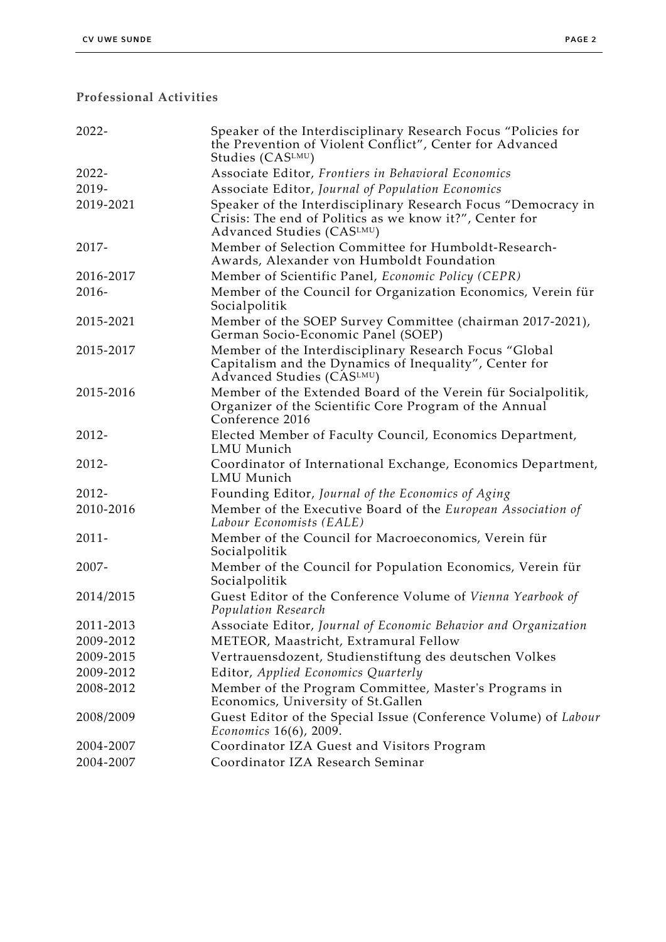# **Professional Activities**

| 2022-     | Speaker of the Interdisciplinary Research Focus "Policies for<br>the Prevention of Violent Conflict", Center for Advanced<br>Studies (CASLMU)         |
|-----------|-------------------------------------------------------------------------------------------------------------------------------------------------------|
| $2022 -$  | Associate Editor, Frontiers in Behavioral Economics                                                                                                   |
| 2019-     | Associate Editor, Journal of Population Economics                                                                                                     |
| 2019-2021 | Speaker of the Interdisciplinary Research Focus "Democracy in<br>Crisis: The end of Politics as we know it?", Center for<br>Advanced Studies (CASLMU) |
| 2017-     | Member of Selection Committee for Humboldt-Research-<br>Awards, Alexander von Humboldt Foundation                                                     |
| 2016-2017 | Member of Scientific Panel, Economic Policy (CEPR)                                                                                                    |
| 2016-     | Member of the Council for Organization Economics, Verein für<br>Socialpolitik                                                                         |
| 2015-2021 | Member of the SOEP Survey Committee (chairman 2017-2021),<br>German Socio-Economic Panel (SOEP)                                                       |
| 2015-2017 | Member of the Interdisciplinary Research Focus "Global<br>Capitalism and the Dynamics of Inequality", Center for<br>Advanced Studies (CASLMU)         |
| 2015-2016 | Member of the Extended Board of the Verein für Socialpolitik,<br>Organizer of the Scientific Core Program of the Annual<br>Conference 2016            |
| 2012-     | Elected Member of Faculty Council, Economics Department,<br>LMU Munich                                                                                |
| 2012-     | Coordinator of International Exchange, Economics Department,<br>LMU Munich                                                                            |
| 2012-     | Founding Editor, Journal of the Economics of Aging                                                                                                    |
| 2010-2016 | Member of the Executive Board of the European Association of<br>Labour Economists (EALE)                                                              |
| $2011 -$  | Member of the Council for Macroeconomics, Verein für<br>Socialpolitik                                                                                 |
| 2007-     | Member of the Council for Population Economics, Verein für<br>Socialpolitik                                                                           |
| 2014/2015 | Guest Editor of the Conference Volume of Vienna Yearbook of<br>Population Research                                                                    |
| 2011-2013 | Associate Editor, Journal of Economic Behavior and Organization                                                                                       |
| 2009-2012 | METEOR, Maastricht, Extramural Fellow                                                                                                                 |
| 2009-2015 | Vertrauensdozent, Studienstiftung des deutschen Volkes                                                                                                |
| 2009-2012 | Editor, Applied Economics Quarterly                                                                                                                   |
| 2008-2012 | Member of the Program Committee, Master's Programs in<br>Economics, University of St.Gallen                                                           |
| 2008/2009 | Guest Editor of the Special Issue (Conference Volume) of Labour<br><i>Economics</i> 16(6), 2009.                                                      |
| 2004-2007 | Coordinator IZA Guest and Visitors Program                                                                                                            |
| 2004-2007 | Coordinator IZA Research Seminar                                                                                                                      |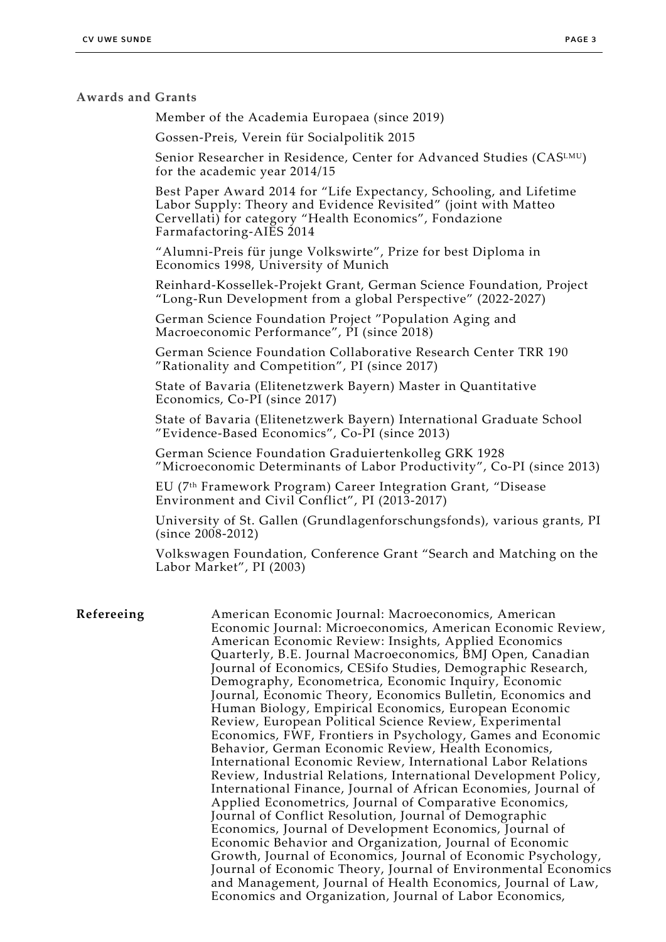#### **Awards and Grants**

Member of the Academia Europaea (since 2019)

Gossen-Preis, Verein für Socialpolitik 2015

Senior Researcher in Residence, Center for Advanced Studies (CASLMU) for the academic year 2014/15

Best Paper Award 2014 for "Life Expectancy, Schooling, and Lifetime Labor Supply: Theory and Evidence Revisited" (joint with Matteo Cervellati) for category "Health Economics", Fondazione Farmafactoring-AIES 2014

"Alumni-Preis für junge Volkswirte", Prize for best Diploma in Economics 1998, University of Munich

Reinhard-Kossellek-Projekt Grant, German Science Foundation, Project "Long-Run Development from a global Perspective" (2022-2027)

German Science Foundation Project "Population Aging and Macroeconomic Performance", PI (since 2018)

German Science Foundation Collaborative Research Center TRR 190 "Rationality and Competition", PI (since 2017)

State of Bavaria (Elitenetzwerk Bayern) Master in Quantitative Economics, Co-PI (since 2017)

State of Bavaria (Elitenetzwerk Bayern) International Graduate School "Evidence-Based Economics", Co-PI (since 2013)

German Science Foundation Graduiertenkolleg GRK 1928 "Microeconomic Determinants of Labor Productivity", Co-PI (since 2013)

EU (7th Framework Program) Career Integration Grant, "Disease Environment and Civil Conflict", PI (2013-2017)

University of St. Gallen (Grundlagenforschungsfonds), various grants, PI (since 2008-2012)

Volkswagen Foundation, Conference Grant "Search and Matching on the Labor Market", PI (2003)

#### **Refereeing** American Economic Journal: Macroeconomics, American Economic Journal: Microeconomics, American Economic Review, American Economic Review: Insights, Applied Economics Quarterly, B.E. Journal Macroeconomics, BMJ Open, Canadian Journal of Economics, CESifo Studies, Demographic Research, Demography, Econometrica, Economic Inquiry, Economic Journal, Economic Theory, Economics Bulletin, Economics and Human Biology, Empirical Economics, European Economic Review, European Political Science Review, Experimental Economics, FWF, Frontiers in Psychology, Games and Economic Behavior, German Economic Review, Health Economics, International Economic Review, International Labor Relations Review, Industrial Relations, International Development Policy, International Finance, Journal of African Economies, Journal of Applied Econometrics, Journal of Comparative Economics, Journal of Conflict Resolution, Journal of Demographic Economics, Journal of Development Economics, Journal of Economic Behavior and Organization, Journal of Economic Growth, Journal of Economics, Journal of Economic Psychology, Journal of Economic Theory, Journal of Environmental Economics and Management, Journal of Health Economics, Journal of Law, Economics and Organization, Journal of Labor Economics,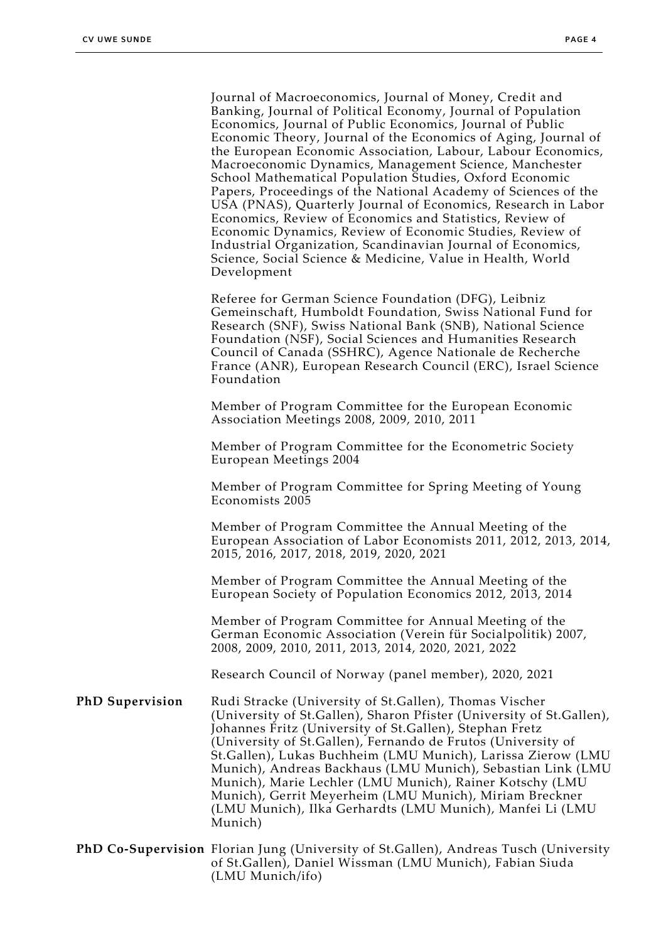Journal of Macroeconomics, Journal of Money, Credit and Banking, Journal of Political Economy, Journal of Population Economics, Journal of Public Economics, Journal of Public Economic Theory, Journal of the Economics of Aging, Journal of the European Economic Association, Labour, Labour Economics, Macroeconomic Dynamics, Management Science, Manchester School Mathematical Population Studies, Oxford Economic Papers, Proceedings of the National Academy of Sciences of the USA (PNAS), Quarterly Journal of Economics, Research in Labor Economics, Review of Economics and Statistics, Review of Economic Dynamics, Review of Economic Studies, Review of Industrial Organization, Scandinavian Journal of Economics, Science, Social Science & Medicine, Value in Health, World Development

Referee for German Science Foundation (DFG), Leibniz Gemeinschaft, Humboldt Foundation, Swiss National Fund for Research (SNF), Swiss National Bank (SNB), National Science Foundation (NSF), Social Sciences and Humanities Research Council of Canada (SSHRC), Agence Nationale de Recherche France (ANR), European Research Council (ERC), Israel Science Foundation

Member of Program Committee for the European Economic Association Meetings 2008, 2009, 2010, 2011

Member of Program Committee for the Econometric Society European Meetings 2004

Member of Program Committee for Spring Meeting of Young Economists 2005

Member of Program Committee the Annual Meeting of the European Association of Labor Economists 2011, 2012, 2013, 2014, 2015, 2016, 2017, 2018, 2019, 2020, 2021

Member of Program Committee the Annual Meeting of the European Society of Population Economics 2012, 2013, 2014

Member of Program Committee for Annual Meeting of the German Economic Association (Verein für Socialpolitik) 2007, 2008, 2009, 2010, 2011, 2013, 2014, 2020, 2021, 2022

Research Council of Norway (panel member), 2020, 2021

**PhD Supervision** Rudi Stracke (University of St.Gallen), Thomas Vischer (University of St.Gallen), Sharon Pfister (University of St.Gallen), Johannes Fritz (University of St.Gallen), Stephan Fretz (University of St.Gallen), Fernando de Frutos (University of St.Gallen), Lukas Buchheim (LMU Munich), Larissa Zierow (LMU Munich), Andreas Backhaus (LMU Munich), Sebastian Link (LMU Munich), Marie Lechler (LMU Munich), Rainer Kotschy (LMU Munich), Gerrit Meyerheim (LMU Munich), Miriam Breckner (LMU Munich), Ilka Gerhardts (LMU Munich), Manfei Li (LMU Munich)

**PhD Co-Supervision** Florian Jung (University of St.Gallen), Andreas Tusch (University of St.Gallen), Daniel Wissman (LMU Munich), Fabian Siuda (LMU Munich/ifo)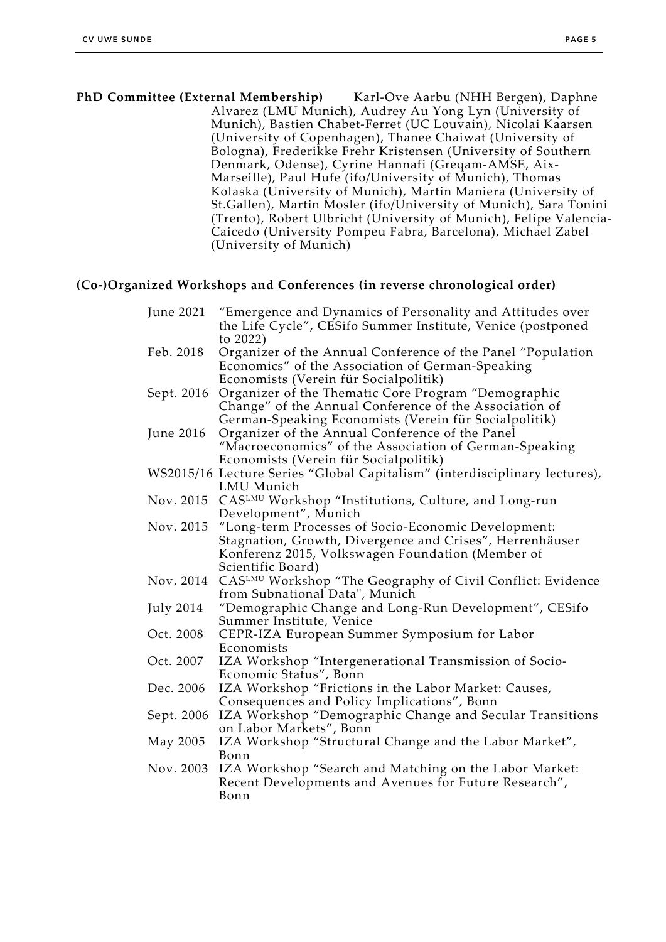**PhD Committee (External Membership)** Karl-Ove Aarbu (NHH Bergen), Daphne Alvarez (LMU Munich), Audrey Au Yong Lyn (University of Munich), Bastien Chabet-Ferret (UC Louvain), Nicolai Kaarsen (University of Copenhagen), Thanee Chaiwat (University of Bologna), Frederikke Frehr Kristensen (University of Southern Denmark, Odense), Cyrine Hannafi (Greqam-AMSE, Aix-Marseille), Paul Hufe (ifo/University of Munich), Thomas Kolaska (University of Munich), Martin Maniera (University of St.Gallen), Martin Mosler (ifo/University of Munich), Sara Tonini (Trento), Robert Ulbricht (University of Munich), Felipe Valencia-Caicedo (University Pompeu Fabra, Barcelona), Michael Zabel (University of Munich)

#### **(Co-)Organized Workshops and Conferences (in reverse chronological order)**

| June 2021  | "Emergence and Dynamics of Personality and Attitudes over                  |
|------------|----------------------------------------------------------------------------|
|            | the Life Cycle", CESifo Summer Institute, Venice (postponed                |
|            | to 2022)                                                                   |
| Feb. 2018  | Organizer of the Annual Conference of the Panel "Population                |
|            | Economics" of the Association of German-Speaking                           |
|            | Economists (Verein für Socialpolitik)                                      |
| Sept. 2016 | Organizer of the Thematic Core Program "Demographic                        |
|            | Change" of the Annual Conference of the Association of                     |
|            | German-Speaking Economists (Verein für Socialpolitik)                      |
| June 2016  | Organizer of the Annual Conference of the Panel                            |
|            | "Macroeconomics" of the Association of German-Speaking                     |
|            | Economists (Verein für Socialpolitik)                                      |
|            | WS2015/16 Lecture Series "Global Capitalism" (interdisciplinary lectures), |
|            | LMU Munich                                                                 |
| Nov. 2015  | CASLMU Workshop "Institutions, Culture, and Long-run                       |
|            | Development", Munich                                                       |
| Nov. 2015  | "Long-term Processes of Socio-Economic Development:                        |
|            | Stagnation, Growth, Divergence and Crises", Herrenhäuser                   |
|            | Konferenz 2015, Volkswagen Foundation (Member of                           |
|            | Scientific Board)                                                          |
| Nov. 2014  | CASLMU Workshop "The Geography of Civil Conflict: Evidence                 |
|            | from Subnational Data", Munich                                             |
| July 2014  | "Demographic Change and Long-Run Development", CESifo                      |
|            | Summer Institute, Venice                                                   |
| Oct. 2008  | CEPR-IZA European Summer Symposium for Labor                               |
|            | Economists                                                                 |
| Oct. 2007  | IZA Workshop "Intergenerational Transmission of Socio-                     |
|            | Economic Status", Bonn                                                     |
| Dec. 2006  | IZA Workshop "Frictions in the Labor Market: Causes,                       |
|            | Consequences and Policy Implications", Bonn                                |
| Sept. 2006 | IZA Workshop "Demographic Change and Secular Transitions                   |
|            | on Labor Markets", Bonn                                                    |
| May 2005   | IZA Workshop "Structural Change and the Labor Market",                     |
|            | Bonn                                                                       |
| Nov. 2003  | IZA Workshop "Search and Matching on the Labor Market:                     |
|            | Recent Developments and Avenues for Future Research",                      |
|            | Bonn                                                                       |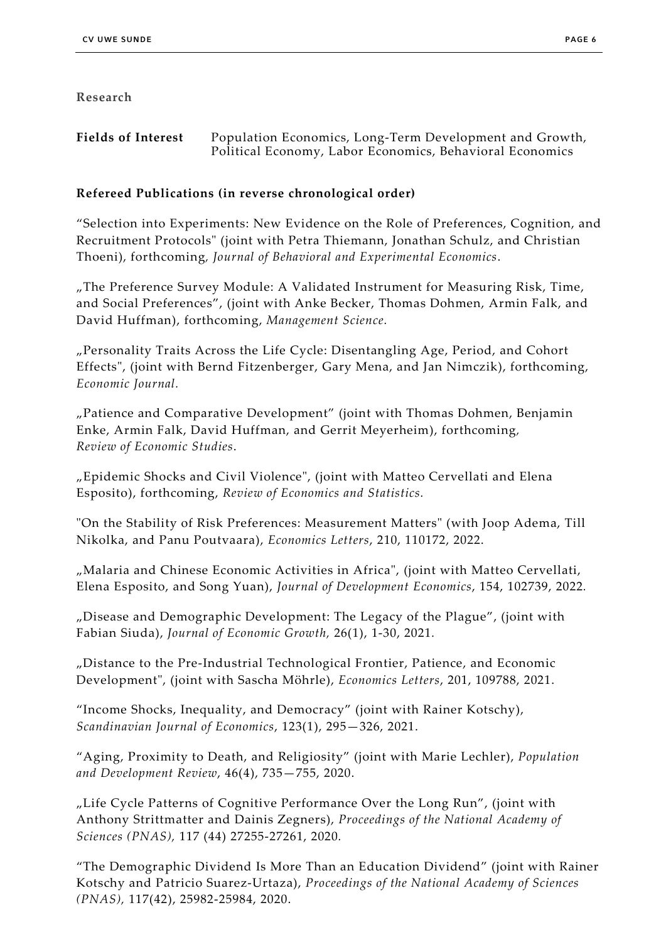#### **Research**

**Fields of Interest** Population Economics, Long-Term Development and Growth, Political Economy, Labor Economics, Behavioral Economics

## **Refereed Publications (in reverse chronological order)**

"Selection into Experiments: New Evidence on the Role of Preferences, Cognition, and Recruitment Protocols" (joint with Petra Thiemann, Jonathan Schulz, and Christian Thoeni), forthcoming*, Journal of Behavioral and Experimental Economics*.

"The Preference Survey Module: A Validated Instrument for Measuring Risk, Time, and Social Preferences", (joint with Anke Becker, Thomas Dohmen, Armin Falk, and David Huffman), forthcoming, *Management Science.*

"Personality Traits Across the Life Cycle: Disentangling Age, Period, and Cohort Effects", (joint with Bernd Fitzenberger, Gary Mena, and Jan Nimczik), forthcoming, *Economic Journal.*

"Patience and Comparative Development" (joint with Thomas Dohmen, Benjamin Enke, Armin Falk, David Huffman, and Gerrit Meyerheim), forthcoming*, Review of Economic Studies*.

"Epidemic Shocks and Civil Violence", (joint with Matteo Cervellati and Elena Esposito), forthcoming, *Review of Economics and Statistics.*

"On the Stability of Risk Preferences: Measurement Matters" (with Joop Adema, Till Nikolka, and Panu Poutvaara), *Economics Letters*, 210, 110172, 2022.

"Malaria and Chinese Economic Activities in Africa", (joint with Matteo Cervellati, Elena Esposito, and Song Yuan), *Journal of Development Economics*, 154, 102739, 2022*.*

"Disease and Demographic Development: The Legacy of the Plague", (joint with Fabian Siuda), *Journal of Economic Growth,* 26(1), 1-30, 2021*.*

"Distance to the Pre-Industrial Technological Frontier, Patience, and Economic Development", (joint with Sascha Möhrle), *Economics Letters*, 201, 109788, 2021.

"Income Shocks, Inequality, and Democracy" (joint with Rainer Kotschy), *Scandinavian Journal of Economics*, 123(1), 295—326, 2021.

"Aging, Proximity to Death, and Religiosity" (joint with Marie Lechler), *Population and Development Review*, 46(4), 735—755, 2020.

"Life Cycle Patterns of Cognitive Performance Over the Long Run", (joint with Anthony Strittmatter and Dainis Zegners), *Proceedings of the National Academy of Sciences (PNAS),* 117 (44) 27255-27261, 2020*.*

"The Demographic Dividend Is More Than an Education Dividend" (joint with Rainer Kotschy and Patricio Suarez-Urtaza), *Proceedings of the National Academy of Sciences (PNAS),* 117(42), 25982-25984, 2020.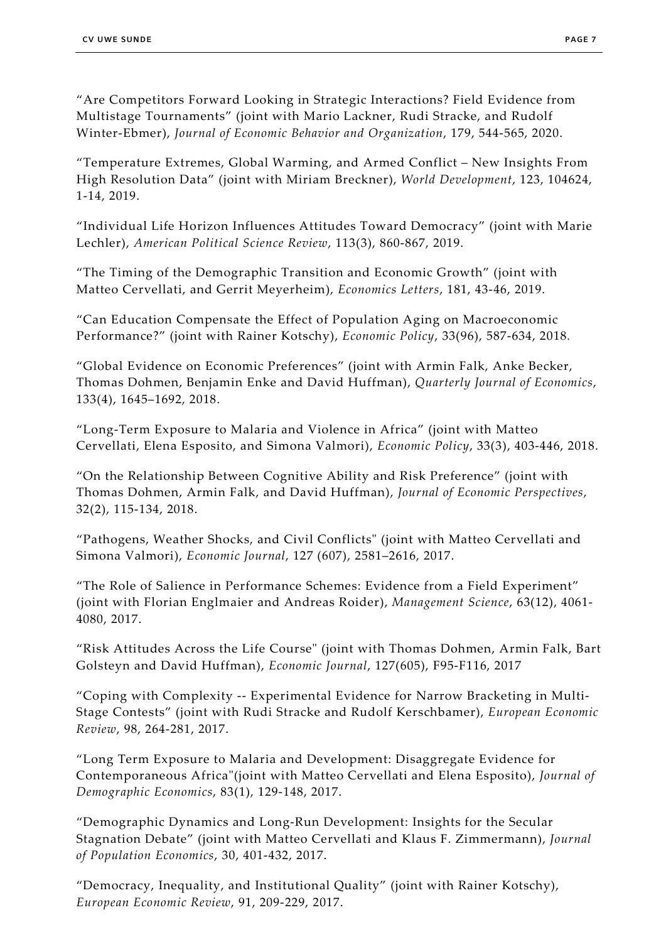"Are Competitors Forward Looking in Strategic Interactions? Field Evidence from Multistage Tournaments" (joint with Mario Lackner, Rudi Stracke, and Rudolf Winter-Ebmer), *Journal of Economic Behavior and Organization*, 179, 544-565, 2020.

"Temperature Extremes, Global Warming, and Armed Conflict – New Insights From High Resolution Data" (joint with Miriam Breckner), *World Development*, 123, 104624, 1-14, 2019.

"Individual Life Horizon Influences Attitudes Toward Democracy" (joint with Marie Lechler), *American Political Science Review*, 113(3), 860-867, 2019.

"The Timing of the Demographic Transition and Economic Growth" (joint with Matteo Cervellati, and Gerrit Meyerheim), *Economics Letters*, 181, 43-46, 2019.

"Can Education Compensate the Effect of Population Aging on Macroeconomic Performance?" (joint with Rainer Kotschy), *Economic Policy*, 33(96), 587-634, 2018*.*

"Global Evidence on Economic Preferences" (joint with Armin Falk, Anke Becker, Thomas Dohmen, Benjamin Enke and David Huffman), *Quarterly Journal of Economics*, 133(4), 1645–1692, 2018.

"Long-Term Exposure to Malaria and Violence in Africa" (joint with Matteo Cervellati, Elena Esposito, and Simona Valmori), *Economic Policy*, 33(3), 403-446, 2018.

"On the Relationship Between Cognitive Ability and Risk Preference" (joint with Thomas Dohmen, Armin Falk, and David Huffman), *Journal of Economic Perspectives*, 32(2), 115-134, 2018.

"Pathogens, Weather Shocks, and Civil Conflicts" (joint with Matteo Cervellati and Simona Valmori), *Economic Journal*, 127 (607), 2581–2616, 2017.

"The Role of Salience in Performance Schemes: Evidence from a Field Experiment" (joint with Florian Englmaier and Andreas Roider), *Management Science*, 63(12), 4061- 4080, 2017.

"Risk Attitudes Across the Life Course" (joint with Thomas Dohmen, Armin Falk, Bart Golsteyn and David Huffman), *Economic Journal*, 127(605), F95-F116, 2017

"Coping with Complexity -- Experimental Evidence for Narrow Bracketing in Multi-Stage Contests" (joint with Rudi Stracke and Rudolf Kerschbamer), *European Economic Review*, 98, 264-281, 2017.

"Long Term Exposure to Malaria and Development: Disaggregate Evidence for Contemporaneous Africa"(joint with Matteo Cervellati and Elena Esposito), *Journal of Demographic Economics*, 83(1), 129-148, 2017.

"Demographic Dynamics and Long-Run Development: Insights for the Secular Stagnation Debate" (joint with Matteo Cervellati and Klaus F. Zimmermann), *Journal of Population Economics*, 30, 401-432, 2017.

"Democracy, Inequality, and Institutional Quality" (joint with Rainer Kotschy), *European Economic Review*, 91, 209-229, 2017.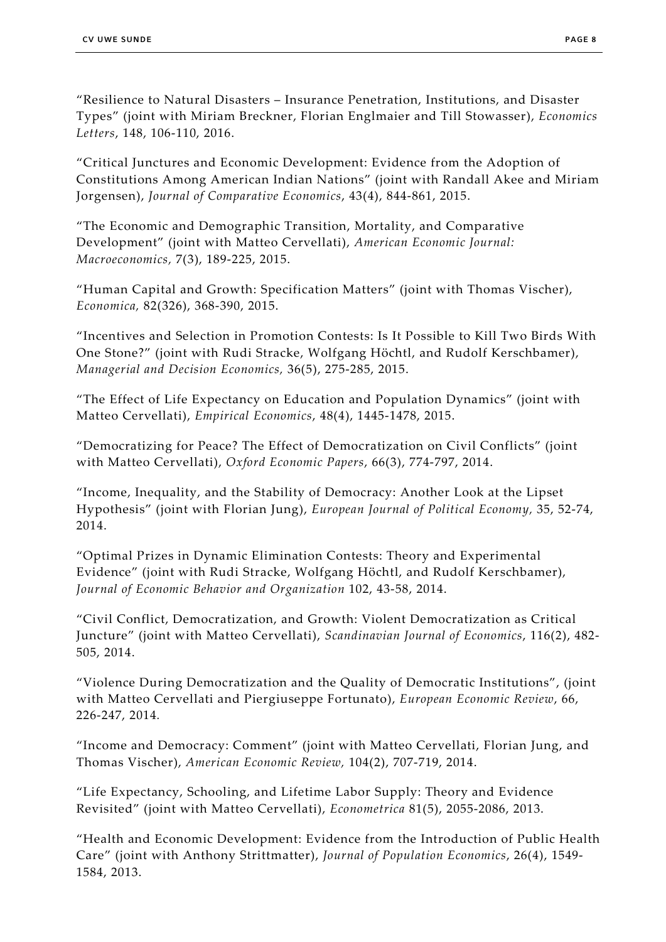"Resilience to Natural Disasters – Insurance Penetration, Institutions, and Disaster Types" (joint with Miriam Breckner, Florian Englmaier and Till Stowasser), *Economics Letters*, 148, 106-110, 2016.

"Critical Junctures and Economic Development: Evidence from the Adoption of Constitutions Among American Indian Nations" (joint with Randall Akee and Miriam Jorgensen), *Journal of Comparative Economics*, 43(4), 844-861, 2015.

"The Economic and Demographic Transition, Mortality, and Comparative Development" (joint with Matteo Cervellati), *American Economic Journal: Macroeconomics,* 7(3), 189-225, 2015.

"Human Capital and Growth: Specification Matters" (joint with Thomas Vischer), *Economica,* 82(326), 368-390, 2015.

"Incentives and Selection in Promotion Contests: Is It Possible to Kill Two Birds With One Stone?" (joint with Rudi Stracke, Wolfgang Höchtl, and Rudolf Kerschbamer), *Managerial and Decision Economics,* 36(5), 275-285, 2015.

"The Effect of Life Expectancy on Education and Population Dynamics" (joint with Matteo Cervellati), *Empirical Economics*, 48(4), 1445-1478, 2015.

"Democratizing for Peace? The Effect of Democratization on Civil Conflicts" (joint with Matteo Cervellati), *Oxford Economic Papers*, 66(3), 774-797, 2014.

"Income, Inequality, and the Stability of Democracy: Another Look at the Lipset Hypothesis" (joint with Florian Jung), *European Journal of Political Economy,* 35, 52-74, 2014.

"Optimal Prizes in Dynamic Elimination Contests: Theory and Experimental Evidence" (joint with Rudi Stracke, Wolfgang Höchtl, and Rudolf Kerschbamer), *Journal of Economic Behavior and Organization* 102, 43-58, 2014.

"Civil Conflict, Democratization, and Growth: Violent Democratization as Critical Juncture" (joint with Matteo Cervellati), *Scandinavian Journal of Economics*, 116(2), 482- 505, 2014.

"Violence During Democratization and the Quality of Democratic Institutions", (joint with Matteo Cervellati and Piergiuseppe Fortunato), *European Economic Review*, 66, 226-247, 2014*.*

"Income and Democracy: Comment" (joint with Matteo Cervellati, Florian Jung, and Thomas Vischer), *American Economic Review,* 104(2), 707-719, 2014.

"Life Expectancy, Schooling, and Lifetime Labor Supply: Theory and Evidence Revisited" (joint with Matteo Cervellati), *Econometrica* 81(5), 2055-2086, 2013.

"Health and Economic Development: Evidence from the Introduction of Public Health Care" (joint with Anthony Strittmatter), *Journal of Population Economics*, 26(4), 1549- 1584, 2013.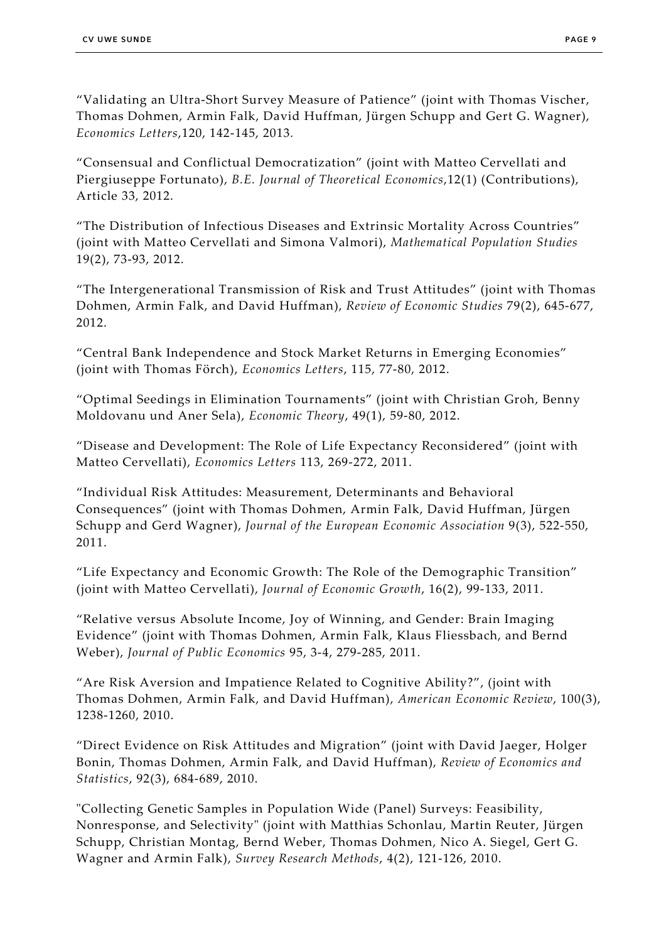"Validating an Ultra-Short Survey Measure of Patience" (joint with Thomas Vischer, Thomas Dohmen, Armin Falk, David Huffman, Jürgen Schupp and Gert G. Wagner), *Economics Letters*,120, 142-145, 2013*.*

"Consensual and Conflictual Democratization" (joint with Matteo Cervellati and Piergiuseppe Fortunato), *B.E. Journal of Theoretical Economics*,12(1) (Contributions), Article 33, 2012.

"The Distribution of Infectious Diseases and Extrinsic Mortality Across Countries" (joint with Matteo Cervellati and Simona Valmori), *Mathematical Population Studies* 19(2), 73-93, 2012.

"The Intergenerational Transmission of Risk and Trust Attitudes" (joint with Thomas Dohmen, Armin Falk, and David Huffman), *Review of Economic Studies* 79(2), 645-677, 2012.

"Central Bank Independence and Stock Market Returns in Emerging Economies" (joint with Thomas Förch), *Economics Letters*, 115, 77-80, 2012.

"Optimal Seedings in Elimination Tournaments" (joint with Christian Groh, Benny Moldovanu und Aner Sela), *Economic Theory*, 49(1), 59-80, 2012.

"Disease and Development: The Role of Life Expectancy Reconsidered" (joint with Matteo Cervellati), *Economics Letters* 113, 269-272, 2011.

"Individual Risk Attitudes: Measurement, Determinants and Behavioral Consequences" (joint with Thomas Dohmen, Armin Falk, David Huffman, Jürgen Schupp and Gerd Wagner), *Journal of the European Economic Association* 9(3), 522-550, 2011.

"Life Expectancy and Economic Growth: The Role of the Demographic Transition" (joint with Matteo Cervellati), *Journal of Economic Growth*, 16(2), 99-133, 2011.

"Relative versus Absolute Income, Joy of Winning, and Gender: Brain Imaging Evidence" (joint with Thomas Dohmen, Armin Falk, Klaus Fliessbach, and Bernd Weber), *Journal of Public Economics* 95, 3-4, 279-285, 2011.

"Are Risk Aversion and Impatience Related to Cognitive Ability?", (joint with Thomas Dohmen, Armin Falk, and David Huffman), *American Economic Review*, 100(3), 1238-1260, 2010.

"Direct Evidence on Risk Attitudes and Migration" (joint with David Jaeger, Holger Bonin, Thomas Dohmen, Armin Falk, and David Huffman), *Review of Economics and Statistics*, 92(3), 684-689, 2010.

"Collecting Genetic Samples in Population Wide (Panel) Surveys: Feasibility, Nonresponse, and Selectivity" (joint with Matthias Schonlau, Martin Reuter, Jürgen Schupp, Christian Montag, Bernd Weber, Thomas Dohmen, Nico A. Siegel, Gert G. Wagner and Armin Falk), *Survey Research Methods*, 4(2), 121-126, 2010.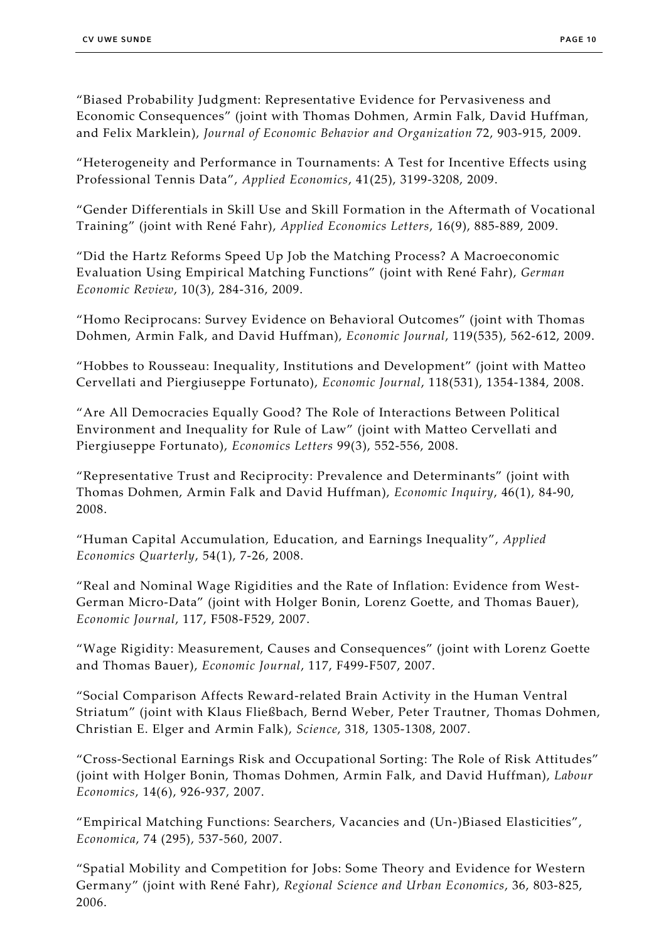"Biased Probability Judgment: Representative Evidence for Pervasiveness and Economic Consequences" (joint with Thomas Dohmen, Armin Falk, David Huffman, and Felix Marklein), *Journal of Economic Behavior and Organization* 72, 903-915, 2009.

"Heterogeneity and Performance in Tournaments: A Test for Incentive Effects using Professional Tennis Data", *Applied Economics*, 41(25), 3199-3208, 2009.

"Gender Differentials in Skill Use and Skill Formation in the Aftermath of Vocational Training" (joint with René Fahr), *Applied Economics Letters*, 16(9), 885-889, 2009.

"Did the Hartz Reforms Speed Up Job the Matching Process? A Macroeconomic Evaluation Using Empirical Matching Functions" (joint with René Fahr), *German Economic Review*, 10(3), 284-316, 2009.

"Homo Reciprocans: Survey Evidence on Behavioral Outcomes" (joint with Thomas Dohmen, Armin Falk, and David Huffman), *Economic Journal*, 119(535), 562-612, 2009.

"Hobbes to Rousseau: Inequality, Institutions and Development" (joint with Matteo Cervellati and Piergiuseppe Fortunato), *Economic Journal*, 118(531), 1354-1384, 2008.

"Are All Democracies Equally Good? The Role of Interactions Between Political Environment and Inequality for Rule of Law" (joint with Matteo Cervellati and Piergiuseppe Fortunato), *Economics Letters* 99(3), 552-556, 2008.

"Representative Trust and Reciprocity: Prevalence and Determinants" (joint with Thomas Dohmen, Armin Falk and David Huffman), *Economic Inquiry*, 46(1), 84-90, 2008.

"Human Capital Accumulation, Education, and Earnings Inequality", *Applied Economics Quarterly*, 54(1), 7-26, 2008.

"Real and Nominal Wage Rigidities and the Rate of Inflation: Evidence from West-German Micro-Data" (joint with Holger Bonin, Lorenz Goette, and Thomas Bauer), *Economic Journal*, 117, F508-F529, 2007.

"Wage Rigidity: Measurement, Causes and Consequences" (joint with Lorenz Goette and Thomas Bauer), *Economic Journal*, 117, F499-F507, 2007.

"Social Comparison Affects Reward-related Brain Activity in the Human Ventral Striatum" (joint with Klaus Fließbach, Bernd Weber, Peter Trautner, Thomas Dohmen, Christian E. Elger and Armin Falk), *Science*, 318, 1305-1308, 2007.

"Cross-Sectional Earnings Risk and Occupational Sorting: The Role of Risk Attitudes" (joint with Holger Bonin, Thomas Dohmen, Armin Falk, and David Huffman), *Labour Economics*, 14(6), 926-937, 2007.

"Empirical Matching Functions: Searchers, Vacancies and (Un-)Biased Elasticities", *Economica*, 74 (295), 537-560, 2007.

"Spatial Mobility and Competition for Jobs: Some Theory and Evidence for Western Germany" (joint with René Fahr), *Regional Science and Urban Economics*, 36, 803-825, 2006.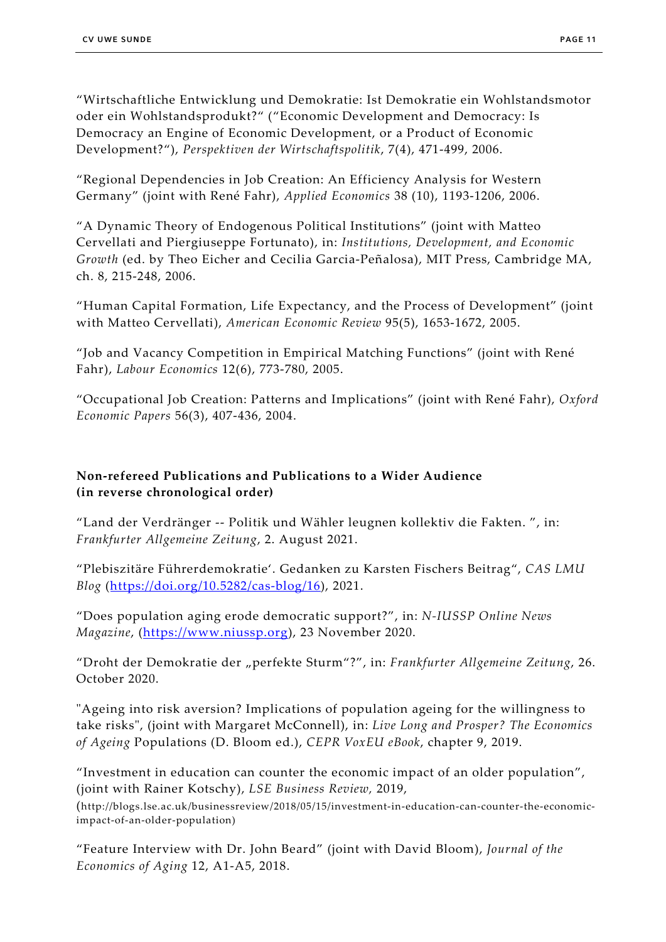"Wirtschaftliche Entwicklung und Demokratie: Ist Demokratie ein Wohlstandsmotor oder ein Wohlstandsprodukt?" ("Economic Development and Democracy: Is Democracy an Engine of Economic Development, or a Product of Economic Development?"), *Perspektiven der Wirtschaftspolitik*, 7(4), 471-499, 2006.

"Regional Dependencies in Job Creation: An Efficiency Analysis for Western Germany" (joint with René Fahr), *Applied Economics* 38 (10), 1193-1206, 2006.

"A Dynamic Theory of Endogenous Political Institutions" (joint with Matteo Cervellati and Piergiuseppe Fortunato), in: *Institutions, Development, and Economic Growth* (ed. by Theo Eicher and Cecilia Garcia-Peñalosa), MIT Press, Cambridge MA, ch. 8, 215-248, 2006.

"Human Capital Formation, Life Expectancy, and the Process of Development" (joint with Matteo Cervellati), *American Economic Review* 95(5), 1653-1672, 2005.

"Job and Vacancy Competition in Empirical Matching Functions" (joint with René Fahr), *Labour Economics* 12(6), 773-780, 2005.

"Occupational Job Creation: Patterns and Implications" (joint with René Fahr), *Oxford Economic Papers* 56(3), 407-436, 2004.

# **Non-refereed Publications and Publications to a Wider Audience (in reverse chronological order)**

"Land der Verdränger -- Politik und Wähler leugnen kollektiv die Fakten. ", in: *Frankfurter Allgemeine Zeitung*, 2. August 2021.

"Plebiszitäre Führerdemokratie'. Gedanken zu Karsten Fischers Beitrag", *CAS LMU Blog* [\(https://doi.org/10.5282/cas-blog/16\)](https://doi.org/10.5282/cas-blog/16), 2021.

"Does population aging erode democratic support?", in: *N-IUSSP Online News Magazine*, [\(https://www.niussp.org\)](https://www.niussp.org/), 23 November 2020.

"Droht der Demokratie der "perfekte Sturm"?", in: *Frankfurter Allgemeine Zeitung*, 26. October 2020.

"Ageing into risk aversion? Implications of population ageing for the willingness to take risks", (joint with Margaret McConnell), in: *Live Long and Prosper? The Economics of Ageing* Populations (D. Bloom ed.), *CEPR VoxEU eBook*, chapter 9, 2019.

"Investment in education can counter the economic impact of an older population", (joint with Rainer Kotschy), *LSE Business Review,* 2019,

(http://blogs.lse.ac.uk/businessreview/2018/05/15/investment-in-education-can-counter-the-economicimpact-of-an-older-population)

"Feature Interview with Dr. John Beard" (joint with David Bloom), *Journal of the Economics of Aging* 12, A1-A5, 2018.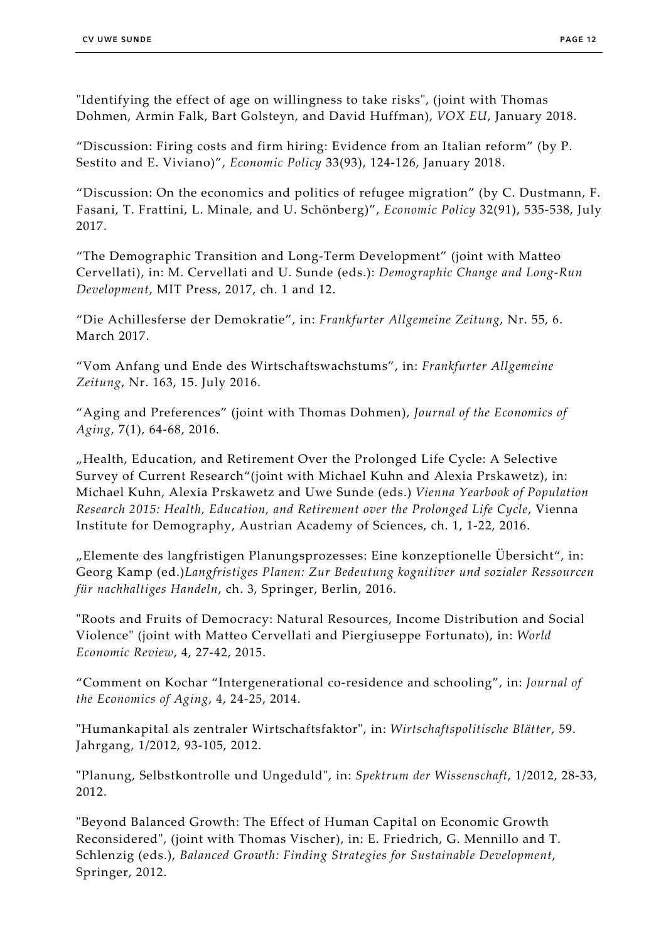"Identifying the effect of age on willingness to take risks", (joint with Thomas Dohmen, Armin Falk, Bart Golsteyn, and David Huffman), *VOX EU*, January 2018.

"Discussion: Firing costs and firm hiring: Evidence from an Italian reform" (by P. Sestito and E. Viviano)", *Economic Policy* 33(93), 124-126, January 2018.

"Discussion: On the economics and politics of refugee migration" (by C. Dustmann, F. Fasani, T. Frattini, L. Minale, and U. Schönberg)", *Economic Policy* 32(91), 535-538, July 2017.

"The Demographic Transition and Long-Term Development" (joint with Matteo Cervellati), in: M. Cervellati and U. Sunde (eds.): *Demographic Change and Long-Run Development*, MIT Press, 2017, ch. 1 and 12.

"Die Achillesferse der Demokratie", in: *Frankfurter Allgemeine Zeitung*, Nr. 55, 6. March 2017.

"Vom Anfang und Ende des Wirtschaftswachstums", in: *Frankfurter Allgemeine Zeitung*, Nr. 163, 15. July 2016.

"Aging and Preferences" (joint with Thomas Dohmen), *Journal of the Economics of Aging*, 7(1), 64-68, 2016.

"Health, Education, and Retirement Over the Prolonged Life Cycle: A Selective Survey of Current Research"(joint with Michael Kuhn and Alexia Prskawetz), in: Michael Kuhn, Alexia Prskawetz and Uwe Sunde (eds.) *Vienna Yearbook of Population Research 2015: Health, Education, and Retirement over the Prolonged Life Cycle*, Vienna Institute for Demography, Austrian Academy of Sciences, ch. 1, 1-22, 2016.

"Elemente des langfristigen Planungsprozesses: Eine konzeptionelle Übersicht", in: Georg Kamp (ed.)*Langfristiges Planen: Zur Bedeutung kognitiver und sozialer Ressourcen für nachhaltiges Handeln*, ch. 3, Springer, Berlin, 2016.

"Roots and Fruits of Democracy: Natural Resources, Income Distribution and Social Violence" (joint with Matteo Cervellati and Piergiuseppe Fortunato), in: *World Economic Review*, 4, 27-42, 2015.

"Comment on Kochar "Intergenerational co-residence and schooling", in: *Journal of the Economics of Aging*, 4, 24-25, 2014.

"Humankapital als zentraler Wirtschaftsfaktor", in: *Wirtschaftspolitische Blätter*, 59. Jahrgang, 1/2012, 93-105, 2012.

"Planung, Selbstkontrolle und Ungeduld", in: *Spektrum der Wissenschaft*, 1/2012, 28-33, 2012.

"Beyond Balanced Growth: The Effect of Human Capital on Economic Growth Reconsidered", (joint with Thomas Vischer), in: E. Friedrich, G. Mennillo and T. Schlenzig (eds.), *Balanced Growth: Finding Strategies for Sustainable Development*, Springer, 2012.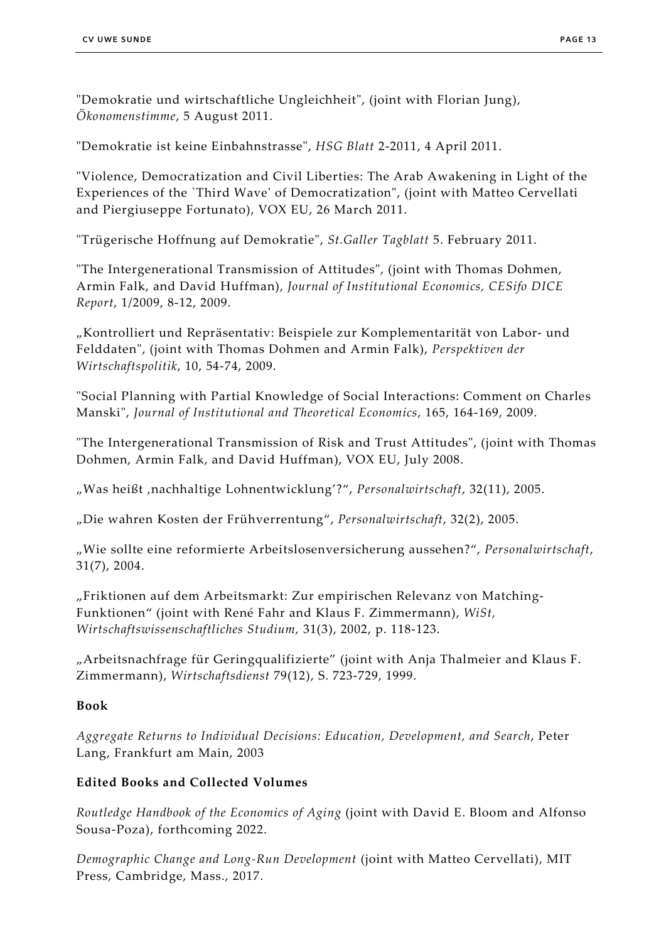"Demokratie und wirtschaftliche Ungleichheit", (joint with Florian Jung), *Ökonomenstimme*, 5 August 2011.

"Demokratie ist keine Einbahnstrasse", *HSG Blatt* 2-2011, 4 April 2011.

"Violence, Democratization and Civil Liberties: The Arab Awakening in Light of the Experiences of the `Third Wave' of Democratization", (joint with Matteo Cervellati and Piergiuseppe Fortunato), VOX EU, 26 March 2011.

"Trügerische Hoffnung auf Demokratie", *St.Galler Tagblatt* 5. February 2011.

"The Intergenerational Transmission of Attitudes", (joint with Thomas Dohmen, Armin Falk, and David Huffman), *Journal of Institutional Economics, CESifo DICE Report*, 1/2009, 8-12, 2009.

"Kontrolliert und Repräsentativ: Beispiele zur Komplementarität von Labor- und Felddaten", (joint with Thomas Dohmen and Armin Falk), *Perspektiven der Wirtschaftspolitik*, 10, 54-74, 2009.

"Social Planning with Partial Knowledge of Social Interactions: Comment on Charles Manski", *Journal of Institutional and Theoretical Economics*, 165, 164-169, 2009.

"The Intergenerational Transmission of Risk and Trust Attitudes", (joint with Thomas Dohmen, Armin Falk, and David Huffman), VOX EU, July 2008.

"Was heißt 'nachhaltige Lohnentwicklung'?", *Personalwirtschaft*, 32(11), 2005.

"Die wahren Kosten der Frühverrentung", *Personalwirtschaft*, 32(2), 2005.

"Wie sollte eine reformierte Arbeitslosenversicherung aussehen?", *Personalwirtschaft*, 31(7), 2004.

"Friktionen auf dem Arbeitsmarkt: Zur empirischen Relevanz von Matching-Funktionen" (joint with René Fahr and Klaus F. Zimmermann), *WiSt, Wirtschaftswissenschaftliches Studium,* 31(3), 2002, p. 118-123.

"Arbeitsnachfrage für Geringqualifizierte" (joint with Anja Thalmeier and Klaus F. Zimmermann), *Wirtschaftsdienst* 79(12), S. 723-729, 1999.

## **Book**

*Aggregate Returns to Individual Decisions: Education, Development, and Search*, Peter Lang, Frankfurt am Main, 2003

## **Edited Books and Collected Volumes**

*Routledge Handbook of the Economics of Aging* (joint with David E. Bloom and Alfonso Sousa-Poza), forthcoming 2022.

*Demographic Change and Long-Run Development* (joint with Matteo Cervellati), MIT Press, Cambridge, Mass., 2017.